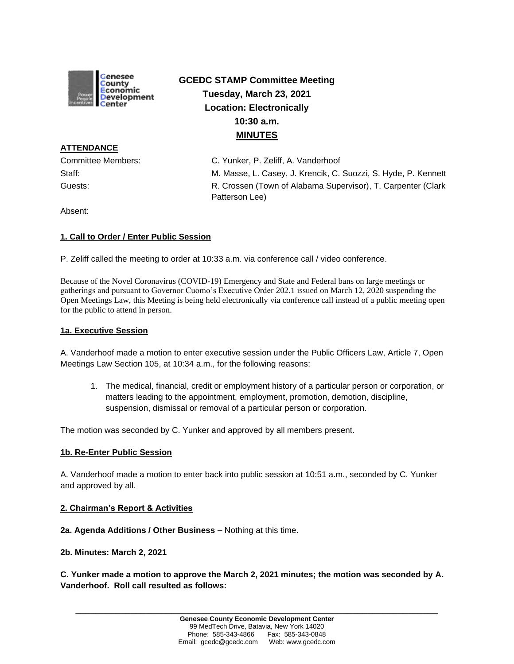

# **GCEDC STAMP Committee Meeting Tuesday, March 23, 2021 Location: Electronically 10:30 a.m. MINUTES**

**ATTENDANCE**

Committee Members: C. Yunker, P. Zeliff, A. Vanderhoof Staff: M. Masse, L. Casey, J. Krencik, C. Suozzi, S. Hyde, P. Kennett Guests: **R. Crossen (Town of Alabama Supervisor), T. Carpenter (Clark** Clark Patterson Lee)

Absent:

# **1. Call to Order / Enter Public Session**

P. Zeliff called the meeting to order at 10:33 a.m. via conference call / video conference.

Because of the Novel Coronavirus (COVID-19) Emergency and State and Federal bans on large meetings or gatherings and pursuant to Governor Cuomo's Executive Order 202.1 issued on March 12, 2020 suspending the Open Meetings Law, this Meeting is being held electronically via conference call instead of a public meeting open for the public to attend in person.

## **1a. Executive Session**

A. Vanderhoof made a motion to enter executive session under the Public Officers Law, Article 7, Open Meetings Law Section 105, at 10:34 a.m., for the following reasons:

1. The medical, financial, credit or employment history of a particular person or corporation, or matters leading to the appointment, employment, promotion, demotion, discipline, suspension, dismissal or removal of a particular person or corporation.

The motion was seconded by C. Yunker and approved by all members present.

# **1b. Re-Enter Public Session**

A. Vanderhoof made a motion to enter back into public session at 10:51 a.m., seconded by C. Yunker and approved by all.

#### **2. Chairman's Report & Activities**

**2a. Agenda Additions / Other Business –** Nothing at this time.

#### **2b. Minutes: March 2, 2021**

**C. Yunker made a motion to approve the March 2, 2021 minutes; the motion was seconded by A. Vanderhoof. Roll call resulted as follows:**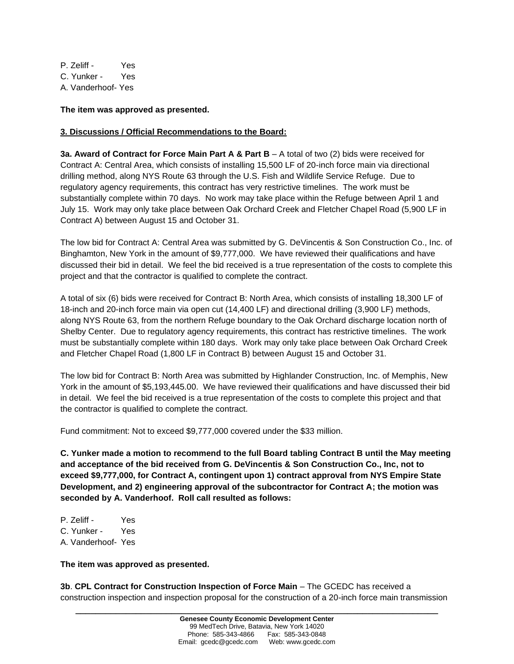P. Zeliff - Yes C. Yunker - Yes A. Vanderhoof- Yes

## **The item was approved as presented.**

## **3. Discussions / Official Recommendations to the Board:**

**3a. Award of Contract for Force Main Part A & Part B** – A total of two (2) bids were received for Contract A: Central Area, which consists of installing 15,500 LF of 20-inch force main via directional drilling method, along NYS Route 63 through the U.S. Fish and Wildlife Service Refuge. Due to regulatory agency requirements, this contract has very restrictive timelines. The work must be substantially complete within 70 days. No work may take place within the Refuge between April 1 and July 15. Work may only take place between Oak Orchard Creek and Fletcher Chapel Road (5,900 LF in Contract A) between August 15 and October 31.

The low bid for Contract A: Central Area was submitted by G. DeVincentis & Son Construction Co., Inc. of Binghamton, New York in the amount of \$9,777,000. We have reviewed their qualifications and have discussed their bid in detail. We feel the bid received is a true representation of the costs to complete this project and that the contractor is qualified to complete the contract.

A total of six (6) bids were received for Contract B: North Area, which consists of installing 18,300 LF of 18-inch and 20-inch force main via open cut (14,400 LF) and directional drilling (3,900 LF) methods, along NYS Route 63, from the northern Refuge boundary to the Oak Orchard discharge location north of Shelby Center. Due to regulatory agency requirements, this contract has restrictive timelines. The work must be substantially complete within 180 days. Work may only take place between Oak Orchard Creek and Fletcher Chapel Road (1,800 LF in Contract B) between August 15 and October 31.

The low bid for Contract B: North Area was submitted by Highlander Construction, Inc. of Memphis, New York in the amount of \$5,193,445.00. We have reviewed their qualifications and have discussed their bid in detail. We feel the bid received is a true representation of the costs to complete this project and that the contractor is qualified to complete the contract.

Fund commitment: Not to exceed \$9,777,000 covered under the \$33 million.

**C. Yunker made a motion to recommend to the full Board tabling Contract B until the May meeting and acceptance of the bid received from G. DeVincentis & Son Construction Co., Inc, not to exceed \$9,777,000, for Contract A, contingent upon 1) contract approval from NYS Empire State Development, and 2) engineering approval of the subcontractor for Contract A; the motion was seconded by A. Vanderhoof. Roll call resulted as follows:**

P. Zeliff - Yes C. Yunker - Yes A. Vanderhoof- Yes

#### **The item was approved as presented.**

**3b**. **CPL Contract for Construction Inspection of Force Main** – The GCEDC has received a construction inspection and inspection proposal for the construction of a 20-inch force main transmission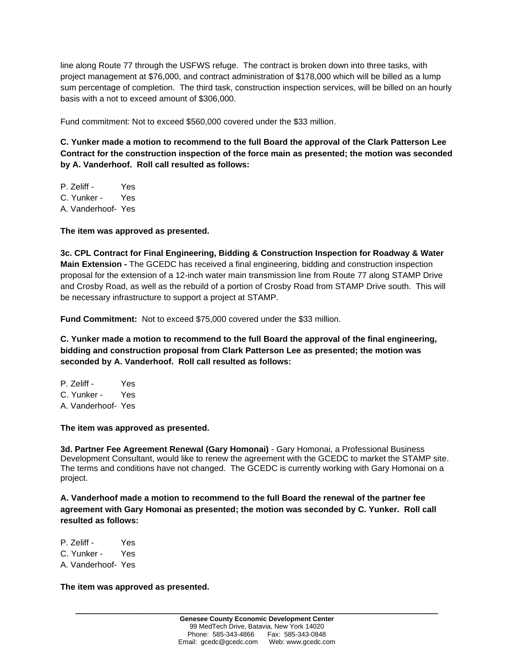line along Route 77 through the USFWS refuge. The contract is broken down into three tasks, with project management at \$76,000, and contract administration of \$178,000 which will be billed as a lump sum percentage of completion. The third task, construction inspection services, will be billed on an hourly basis with a not to exceed amount of \$306,000.

Fund commitment: Not to exceed \$560,000 covered under the \$33 million.

**C. Yunker made a motion to recommend to the full Board the approval of the Clark Patterson Lee Contract for the construction inspection of the force main as presented; the motion was seconded by A. Vanderhoof. Roll call resulted as follows:**

P. Zeliff - Yes C. Yunker - Yes A. Vanderhoof- Yes

**The item was approved as presented.**

**3c. CPL Contract for Final Engineering, Bidding & Construction Inspection for Roadway & Water Main Extension -** The GCEDC has received a final engineering, bidding and construction inspection proposal for the extension of a 12-inch water main transmission line from Route 77 along STAMP Drive and Crosby Road, as well as the rebuild of a portion of Crosby Road from STAMP Drive south. This will be necessary infrastructure to support a project at STAMP.

**Fund Commitment:** Not to exceed \$75,000 covered under the \$33 million.

**C. Yunker made a motion to recommend to the full Board the approval of the final engineering, bidding and construction proposal from Clark Patterson Lee as presented; the motion was seconded by A. Vanderhoof. Roll call resulted as follows:**

P. Zeliff - Yes C. Yunker - Yes A. Vanderhoof- Yes

**The item was approved as presented.**

**3d. Partner Fee Agreement Renewal (Gary Homonai)** - Gary Homonai, a Professional Business Development Consultant, would like to renew the agreement with the GCEDC to market the STAMP site. The terms and conditions have not changed. The GCEDC is currently working with Gary Homonai on a project.

**A. Vanderhoof made a motion to recommend to the full Board the renewal of the partner fee agreement with Gary Homonai as presented; the motion was seconded by C. Yunker. Roll call resulted as follows:**

P. Zeliff - Yes C. Yunker - Yes A. Vanderhoof- Yes

**The item was approved as presented.**